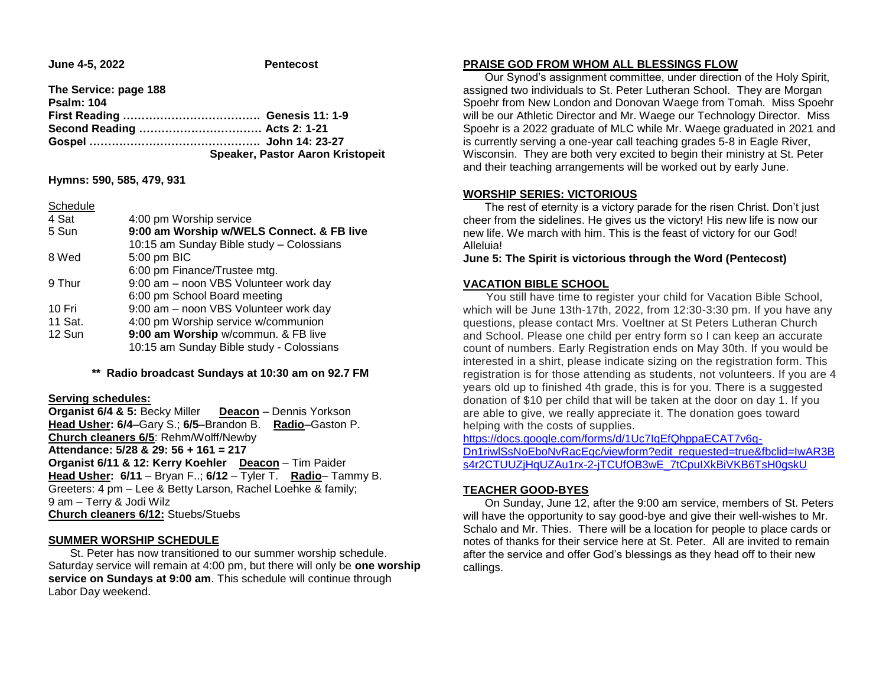**June 4-5, 2022 Pentecost** 

| The Service: page 188 |                                         |
|-----------------------|-----------------------------------------|
| <b>Psalm: 104</b>     |                                         |
|                       |                                         |
|                       |                                         |
|                       |                                         |
|                       | <b>Speaker, Pastor Aaron Kristopeit</b> |

**Hymns: 590, 585, 479, 931**

| Schedule |  |
|----------|--|
|          |  |

| 4 Sat   | 4:00 pm Worship service                   |  |  |
|---------|-------------------------------------------|--|--|
| 5 Sun   | 9:00 am Worship w/WELS Connect. & FB live |  |  |
|         | 10:15 am Sunday Bible study - Colossians  |  |  |
| 8 Wed   | 5:00 pm BIC                               |  |  |
|         | 6:00 pm Finance/Trustee mtg.              |  |  |
| 9 Thur  | 9:00 am - noon VBS Volunteer work day     |  |  |
|         | 6:00 pm School Board meeting              |  |  |
| 10 Fri  | 9:00 am - noon VBS Volunteer work day     |  |  |
| 11 Sat. | 4:00 pm Worship service w/communion       |  |  |
| 12 Sun  | 9:00 am Worship w/commun. & FB live       |  |  |
|         | 10:15 am Sunday Bible study - Colossians  |  |  |

### **\*\* Radio broadcast Sundays at 10:30 am on 92.7 FM**

#### **Serving schedules:**

**Organist 6/4 & 5:** Becky Miller **Deacon** – Dennis Yorkson **Head Usher: 6/4**–Gary S.; **6/5**–Brandon B. **Radio**–Gaston P. **Church cleaners 6/5**: Rehm/Wolff/Newby **Attendance: 5/28 & 29: 56 + 161 = 217 Organist 6/11 & 12: Kerry Koehler Deacon** – Tim Paider **Head Usher: 6/11** – Bryan F..; **6/12** – Tyler T. **Radio**– Tammy B. Greeters: 4 pm – Lee & Betty Larson, Rachel Loehke & family; 9 am – Terry & Jodi Wilz **Church cleaners 6/12:** Stuebs/Stuebs

## **SUMMER WORSHIP SCHEDULE**

 St. Peter has now transitioned to our summer worship schedule. Saturday service will remain at 4:00 pm, but there will only be **one worship service on Sundays at 9:00 am**. This schedule will continue through Labor Day weekend.

#### **PRAISE GOD FROM WHOM ALL BLESSINGS FLOW**

 Our Synod's assignment committee, under direction of the Holy Spirit, assigned two individuals to St. Peter Lutheran School. They are Morgan Spoehr from New London and Donovan Waege from Tomah. Miss Spoehr will be our Athletic Director and Mr. Waege our Technology Director. Miss Spoehr is a 2022 graduate of MLC while Mr. Waege graduated in 2021 and is currently serving a one-year call teaching grades 5-8 in Eagle River, Wisconsin. They are both very excited to begin their ministry at St. Peter and their teaching arrangements will be worked out by early June.

## **WORSHIP SERIES: VICTORIOUS**

 The rest of eternity is a victory parade for the risen Christ. Don't just cheer from the sidelines. He gives us the victory! His new life is now our new life. We march with him. This is the feast of victory for our God! Alleluia!

**June 5: The Spirit is victorious through the Word (Pentecost)**

## **VACATION BIBLE SCHOOL**

 You still have time to register your child for Vacation Bible School, which will be June 13th-17th, 2022, from 12:30-3:30 pm. If you have any questions, please contact Mrs. Voeltner at St Peters Lutheran Church and School. Please one child per entry form so I can keep an accurate count of numbers. Early Registration ends on May 30th. If you would be interested in a shirt, please indicate sizing on the registration form. This registration is for those attending as students, not volunteers. If you are 4 years old up to finished 4th grade, this is for you. There is a suggested donation of \$10 per child that will be taken at the door on day 1. If you are able to give, we really appreciate it. The donation goes toward helping with the costs of supplies.

[https://docs.google.com/forms/d/1Uc7IqEfQhppaECAT7v6g-](https://docs.google.com/forms/d/1Uc7IqEfQhppaECAT7v6g-Dn1riwlSsNoEboNvRacEqc/viewform?edit_requested=true&fbclid=IwAR3Bs4r2CTUUZjHqUZAu1rx-2-jTCUfOB3wE_7tCpuIXkBiVKB6TsH0gskU)[Dn1riwlSsNoEboNvRacEqc/viewform?edit\\_requested=true&fbclid=IwAR3B](https://docs.google.com/forms/d/1Uc7IqEfQhppaECAT7v6g-Dn1riwlSsNoEboNvRacEqc/viewform?edit_requested=true&fbclid=IwAR3Bs4r2CTUUZjHqUZAu1rx-2-jTCUfOB3wE_7tCpuIXkBiVKB6TsH0gskU) s4r2CTUUZiHqUZAu1rx-2-jTCUfOB3wE\_7tCpuIXkBiVKB6TsH0qskU

## **TEACHER GOOD-BYES**

 On Sunday, June 12, after the 9:00 am service, members of St. Peters will have the opportunity to say good-bye and give their well-wishes to Mr. Schalo and Mr. Thies. There will be a location for people to place cards or notes of thanks for their service here at St. Peter. All are invited to remain after the service and offer God's blessings as they head off to their new callings.